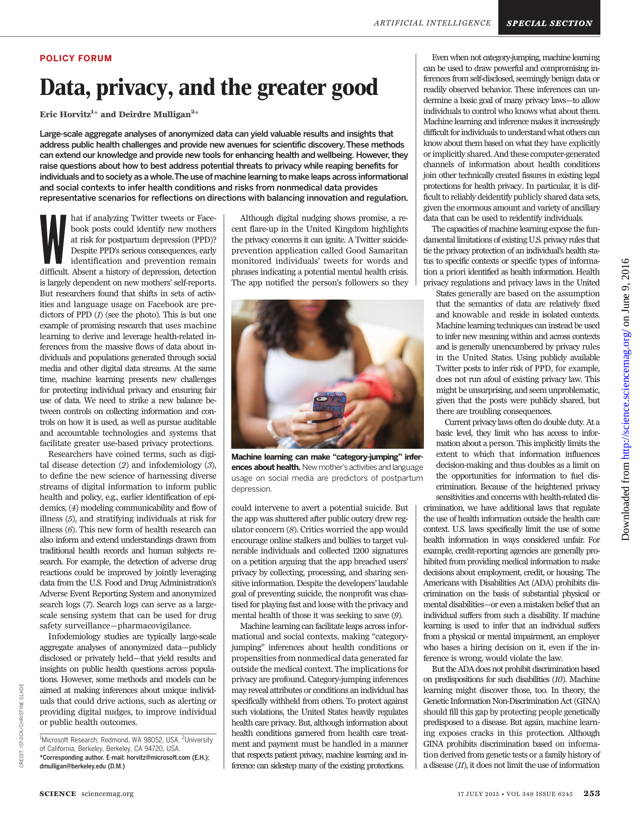# Data, privacy, and the greater good

Eric Horvitz $^{1\ast}$  and Deirdre Mulligan $^{2\ast}$ 

Large-scale aggregate analyses of anonymized data can yield valuable results and insights that address public health challenges and provide new avenues for scientific discovery.These methods can extend our knowledge and provide new tools for enhancing health and wellbeing. However, they raise questions about how to best address potential threats to privacy while reaping benefits for individuals and to society as a whole. The use of machine learning to make leaps across informational and social contexts to infer health conditions and risks from nonmedical data provides representative scenarios for reflections on directions with balancing innovation and regulation.

hat if analyzing Twitter tweets or Facebook posts could identify new mothers at risk for postpartum depression (PPD)? Despite PPD's serious consequences, early identification and prevention remain difficult. Absent a histo hat if analyzing Twitter tweets or Facebook posts could identify new mothers at risk for postpartum depression (PPD)? Despite PPD's serious consequences, early identification and prevention remain is largely dependent on new mothers' self-reports. But researchers found that shifts in sets of activities and language usage on Facebook are predictors of PPD  $(I)$  (see the photo). This is but one example of promising research that uses machine learning to derive and leverage health-related inferences from the massive flows of data about individuals and populations generated through social media and other digital data streams. At the same time, machine learning presents new challenges for protecting individual privacy and ensuring fair use of data. We need to strike a new balance between controls on collecting information and controls on how it is used, as well as pursue auditable and accountable technologies and systems that facilitate greater use-based privacy protections.

Researchers have coined terms, such as digital disease detection (2) and infodemiology (3), to define the new science of harnessing diverse streams of digital information to inform public health and policy, e.g., earlier identification of epidemics, (4) modeling communicability and flow of illness (5), and stratifying individuals at risk for illness  $(6)$ . This new form of health research can also inform and extend understandings drawn from traditional health records and human subjects research. For example, the detection of adverse drug reactions could be improved by jointly leveraging data from the U.S. Food and Drug Administration's Adverse Event Reporting System and anonymized search logs (7). Search logs can serve as a largescale sensing system that can be used for drug safety surveillance—pharmacovigilance.

Infodemiology studies are typically large-scale aggregate analyses of anonymized data—publicly disclosed or privately held—that yield results and insights on public health questions across populations. However, some methods and models can be aimed at making inferences about unique individuals that could drive actions, such as alerting or providing digital nudges, to improve individual or public health outcomes.

<sup>1</sup>Microsoft Research, Redmond, WA 98052, USA. <sup>2</sup>University of California, Berkeley, Berkeley, CA 94720, USA. \*Corresponding author. E-mail: horvitz@microsoft.com (E.H.); dmulligan@berkeley.edu (D.M.)

Although digital nudging shows promise, a recent flare-up in the United Kingdom highlights the privacy concerns it can ignite. A Twitter suicideprevention application called Good Samaritan monitored individuals' tweets for words and phrases indicating a potential mental health crisis. The app notified the person's followers so they



Machine learning can make "category-jumping" inferences about health. Newmother*'*s activities and language usage on social media are predictors of postpartum depression.

could intervene to avert a potential suicide. But the app was shuttered after public outcry drew regulator concern (8). Critics worried the app would encourage online stalkers and bullies to target vulnerable individuals and collected 1200 signatures on a petition arguing that the app breached users' privacy by collecting, processing, and sharing sensitive information. Despite the developers' laudable goal of preventing suicide, the nonprofit was chastised for playing fast and loose with the privacy and mental health of those it was seeking to save (9).

Machine learning can facilitate leaps across informational and social contexts, making "categoryjumping" inferences about health conditions or propensities from nonmedical data generated far outside the medical context. The implications for privacy are profound. Category-jumping inferences may reveal attributes or conditions an individual has specifically withheld from others. To protect against such violations, the United States heavily regulates health care privacy. But, although information about health conditions garnered from health care treatment and payment must be handled in a manner that respects patient privacy, machine learning and inference can sidestep many of the existing protections.

Even when not category-jumping, machine learning can be used to draw powerful and compromising inferences from self-disclosed, seemingly benign data or readily observed behavior. These inferences can undermine a basic goal of many privacy laws—to allow individuals to control who knows what about them. Machine learning and inference makes it increasingly difficult for individuals to understand what others can know about them based on what they have explicitly or implicitly shared. And these computer-generated channels of information about health conditions join other technically created fissures in existing legal protections for health privacy. In particular, it is difficult to reliably deidentify publicly shared data sets, given the enormous amount and variety of ancillary data that can be used to reidentify individuals.

The capacities of machine learning expose the fundamental limitations of existing U.S. privacy rules that tie the privacy protection of an individual's health status to specific contexts or specific types of information a priori identified as health information. Health privacy regulations and privacy laws in the United

States generally are based on the assumption that the semantics of data are relatively fixed and knowable and reside in isolated contexts. Machine learning techniques can instead be used to infer new meaning within and across contexts and is generally unencumbered by privacy rules in the United States. Using publicly available Twitter posts to infer risk of PPD, for example, does not run afoul of existing privacy law. This might be unsurprising, and seem unproblematic, given that the posts were publicly shared, but there are troubling consequences.

Current privacy laws often do double duty. At a basic level, they limit who has access to information about a person. This implicitly limits the extent to which that information influences decision-making and thus doubles as a limit on the opportunities for information to fuel discrimination. Because of the heightened privacy sensitivities and concerns with health-related dis-

crimination, we have additional laws that regulate the use of health information outside the health care context. U.S. laws specifically limit the use of some health information in ways considered unfair. For example, credit-reporting agencies are generally prohibited from providing medical information to make decisions about employment, credit, or housing. The Americans with Disabilities Act (ADA) prohibits discrimination on the basis of substantial physical or mental disabilities—or even a mistaken belief that an individual suffers from such a disability. If machine learning is used to infer that an individual suffers from a physical or mental impairment, an employer who bases a hiring decision on it, even if the inference is wrong, would violate the law.

But theADA does not prohibit discrimination based on predispositions for such disabilities (10). Machine learning might discover those, too. In theory, the Genetic Information Non-Discrimination Act (GINA) should fill this gap by protecting people genetically predisposed to a disease. But again, machine learning exposes cracks in this protection. Although GINA prohibits discrimination based on information derived from genetic tests or a family history of a disease (11), it does not limit the use of information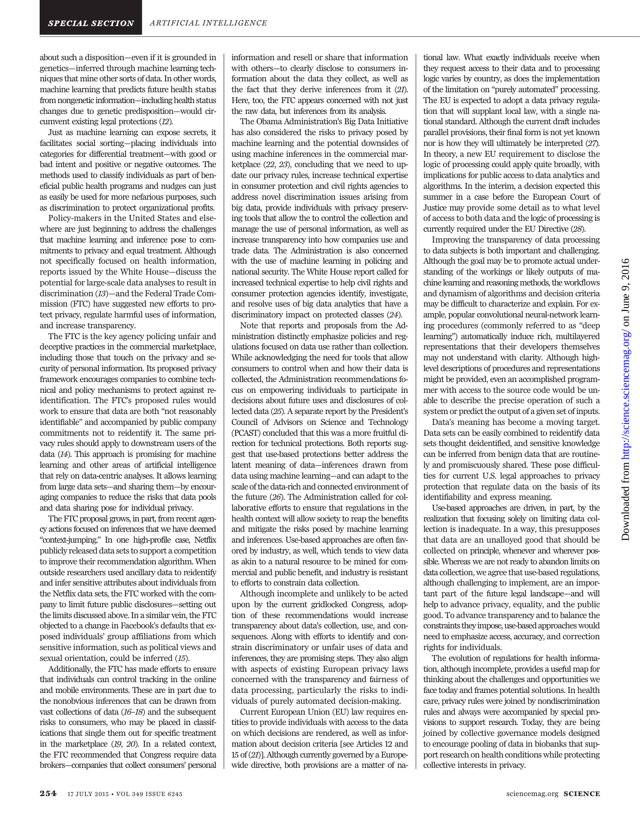about such a disposition—even if it is grounded in genetics—inferred through machine learning techniques that mine other sorts of data. In other words, machine learning that predicts future health status from nongenetic information—including health status changes due to genetic predisposition—would circumvent existing legal protections (12).

Just as machine learning can expose secrets, it facilitates social sorting—placing individuals into categories for differential treatment—with good or bad intent and positive or negative outcomes. The methods used to classify individuals as part of beneficial public health programs and nudges can just as easily be used for more nefarious purposes, such as discrimination to protect organizational profits.

Policy-makers in the United States and elsewhere are just beginning to address the challenges that machine learning and inference pose to commitments to privacy and equal treatment. Although not specifically focused on health information, reports issued by the White House—discuss the potential for large-scale data analyses to result in discrimination (13)—and the Federal Trade Commission (FTC) have suggested new efforts to protect privacy, regulate harmful uses of information, and increase transparency.

The FTC is the key agency policing unfair and deceptive practices in the commercial marketplace, including those that touch on the privacy and security of personal information. Its proposed privacy framework encourages companies to combine technical and policy mechanisms to protect against reidentification. The FTC's proposed rules would work to ensure that data are both "not reasonably identifiable" and accompanied by public company commitments not to reidentify it. The same privacy rules should apply to downstream users of the data (14). This approach is promising for machine learning and other areas of artificial intelligence that rely on data-centric analyses. It allows learning from large data sets—and sharing them—by encouraging companies to reduce the risks that data pools and data sharing pose for individual privacy.

The FTC proposal grows, in part, from recent agency actions focused on inferences that we have deemed "context-jumping." In one high-profile case, Netflix publicly released data sets to support a competition to improve their recommendation algorithm. When outside researchers used ancillary data to reidentify and infer sensitive attributes about individuals from the Netflix data sets, the FTC worked with the company to limit future public disclosures—setting out the limits discussed above. In a similar vein, the FTC objected to a change in Facebook's defaults that exposed individuals' group affiliations from which sensitive information, such as political views and sexual orientation, could be inferred (15).

Additionally, the FTC has made efforts to ensure that individuals can control tracking in the online and mobile environments. These are in part due to the nonobvious inferences that can be drawn from vast collections of data (16–18) and the subsequent risks to consumers, who may be placed in classifications that single them out for specific treatment in the marketplace (19, 20). In a related context, the FTC recommended that Congress require data brokers—companies that collect consumers' personal

information and resell or share that information with others—to clearly disclose to consumers information about the data they collect, as well as the fact that they derive inferences from it (21). Here, too, the FTC appears concerned with not just the raw data, but inferences from its analysis.

The Obama Administration's Big Data Initiative has also considered the risks to privacy posed by machine learning and the potential downsides of using machine inferences in the commercial marketplace (22, 23), concluding that we need to update our privacy rules, increase technical expertise in consumer protection and civil rights agencies to address novel discrimination issues arising from big data, provide individuals with privacy preserving tools that allow the to control the collection and manage the use of personal information, as well as increase transparency into how companies use and trade data. The Administration is also concerned with the use of machine learning in policing and national security. The White House report called for increased technical expertise to help civil rights and consumer protection agencies identify, investigate, and resolve uses of big data analytics that have a discriminatory impact on protected classes (24).

Note that reports and proposals from the Administration distinctly emphasize policies and regulations focused on data use rather than collection. While acknowledging the need for tools that allow consumers to control when and how their data is collected, the Administration recommendations focus on empowering individuals to participate in decisions about future uses and disclosures of collected data (25). A separate report by the President's Council of Advisors on Science and Technology (PCAST) concluded that this was a more fruitful direction for technical protections. Both reports suggest that use-based protections better address the latent meaning of data—inferences drawn from data using machine learning—and can adapt to the scale of the data-rich and connected environment of the future (26). The Administration called for collaborative efforts to ensure that regulations in the health context will allow society to reap the benefits and mitigate the risks posed by machine learning and inferences. Use-based approaches are often favored by industry, as well, which tends to view data as akin to a natural resource to be mined for commercial and public benefit, and industry is resistant to efforts to constrain data collection.

Although incomplete and unlikely to be acted upon by the current gridlocked Congress, adoption of these recommendations would increase transparency about data's collection, use, and consequences. Along with efforts to identify and constrain discriminatory or unfair uses of data and inferences, they are promising steps. They also align with aspects of existing European privacy laws concerned with the transparency and fairness of data processing, particularly the risks to individuals of purely automated decision-making.

Current European Union (EU) law requires entities to provide individuals with access to the data on which decisions are rendered, as well as information about decision criteria [see Articles 12 and 15 of (21)]. Although currently governed by a Europewide directive, both provisions are a matter of na-

tional law. What exactly individuals receive when they request access to their data and to processing logic varies by country, as does the implementation of the limitation on "purely automated" processing. The EU is expected to adopt a data privacy regulation that will supplant local law, with a single national standard. Although the current draft includes parallel provisions, their final form is not yet known nor is how they will ultimately be interpreted (27). In theory, a new EU requirement to disclose the logic of processing could apply quite broadly, with implications for public access to data analytics and algorithms. In the interim, a decision expected this summer in a case before the European Court of Justice may provide some detail as to what level of access to both data and the logic of processing is currently required under the EU Directive (28).

Improving the transparency of data processing to data subjects is both important and challenging. Although the goal may be to promote actual understanding of the workings or likely outputs of machine learning and reasoning methods, the workflows and dynamism of algorithms and decision criteria may be difficult to characterize and explain. For example, popular convolutional neural-network learning procedures (commonly referred to as "deep learning") automatically induce rich, multilayered representations that their developers themselves may not understand with clarity. Although highlevel descriptions of procedures and representations might be provided, even an accomplished programmer with access to the source code would be unable to describe the precise operation of such a system or predict the output of a given set of inputs.

Data's meaning has become a moving target. Data sets can be easily combined to reidentify data sets thought deidentified, and sensitive knowledge can be inferred from benign data that are routinely and promiscuously shared. These pose difficulties for current U.S. legal approaches to privacy protection that regulate data on the basis of its identifiability and express meaning.

Use-based approaches are driven, in part, by the realization that focusing solely on limiting data collection is inadequate. In a way, this presupposes that data are an unalloyed good that should be collected on principle, whenever and wherever possible. Whereas we are not ready to abandon limits on data collection, we agree that use-based regulations, although challenging to implement, are an important part of the future legal landscape—and will help to advance privacy, equality, and the public good. To advance transparency and to balance the constraints theyimpose, use-basedapproaches would need to emphasize access, accuracy, and correction rights for individuals.

The evolution of regulations for health information, although incomplete, provides a useful map for thinking about the challenges and opportunities we face today and frames potential solutions. In health care, privacy rules were joined by nondiscrimination rules and always were accompanied by special provisions to support research. Today, they are being joined by collective governance models designed to encourage pooling of data in biobanks that support research on health conditions while protecting collective interests in privacy.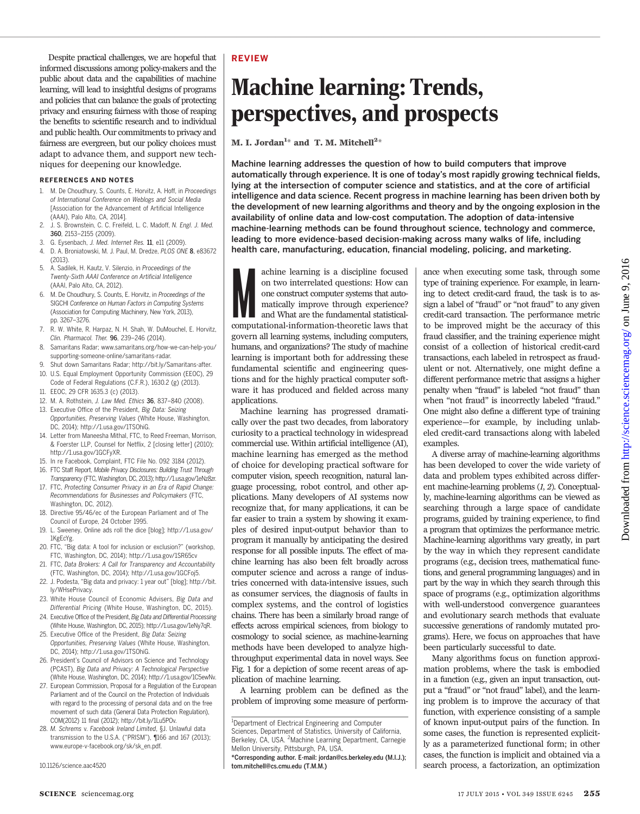Despite practical challenges, we are hopeful that informed discussions among policy-makers and the public about data and the capabilities of machine learning, will lead to insightful designs of programs and policies that can balance the goals of protecting privacy and ensuring fairness with those of reaping the benefits to scientific research and to individual and public health. Our commitments to privacy and fairness are evergreen, but our policy choices must adapt to advance them, and support new techniques for deepening our knowledge.

## REFERENCES AND NOTES

- REFERENCES AND NOTES 1. M. De Choudhury, S. Counts, E. Horvitz, A. Hoff, in Proceedings of International Conference on Weblogs and Social Media [Association for the Advancement of Artificial Intelligence (AAAI), Palo Alto, CA, 2014].
- J. S. Brownstein, C. C. Freifeld, L. C. Madoff, N. Engl. J. Med. 360, 2153–2155 (2009).
- 3. G. Eysenbach, J. Med. Internet Res. 11, e11 (2009).
- 4. D. A. Broniatowski, M. J. Paul, M. Dredze, PLOS ONE 8, e83672 (2013).
- 5. A. Sadilek, H. Kautz, V. Silenzio, in Proceedings of the Twenty-Sixth AAAI Conference on Artificial Intelligence (AAAI, Palo Alto, CA, 2012).
- 6. M. De Choudhury, S. Counts, E. Horvitz, in Proceedings of the SIGCHI Conference on Human Factors in Computing Systems (Association for Computing Machinery, New York, 2013), pp. 3267–3276.
- 7. R. W. White, R. Harpaz, N. H. Shah, W. DuMouchel, E. Horvitz, Clin. Pharmacol. Ther. 96, 239–246 (2014).
- 8. Samaritans Radar; www.samaritans.org/how-we-can-help-you/ supporting-someone-online/samaritans-radar.
- 9. Shut down Samaritans Radar; http://bit.ly/Samaritans-after. 10. U.S. Equal Employment Opportunity Commission (EEOC), 29 Code of Federal Regulations (C.F.R.), 1630.2 (g) (2013).
- 11. EEOC, 29 CFR 1635.3 (c) (2013).
- 12. M. A. Rothstein, J. Law Med. Ethics 36, 837–840 (2008).
- 13. Executive Office of the President, Big Data: Seizing Opportunities, Preserving Values (White House, Washington, DC, 2014); http://1.usa.gov/1TSOhiG.
- 14. Letter from Maneesha Mithal, FTC, to Reed Freeman, Morrison, & Foerster LLP, Counsel for Netflix, 2 [closing letter] (2010); http://1.usa.gov/1GCFyXR.
- 15. In re Facebook, Complaint, FTC File No. 092 3184 (2012).
- 16. FTC Staff Report, Mobile Privacy Disclosures: Building Trust Through Transparency (FTC, Washington, DC, 2013); http://1.usa.gov/1eNz8zr.
- 17. FTC, Protecting Consumer Privacy in an Era of Rapid Change: Recommendations for Businesses and Policymakers (FTC, Washington, DC, 2012).
- 18. Directive 95/46/ec of the European Parliament and of The Council of Europe, 24 October 1995.
- 19. L. Sweeney, Online ads roll the dice [blog]; http://1.usa.gov/ 1KgEcYg.
- 20. FTC, "Big data: A tool for inclusion or exclusion?" (workshop, FTC, Washington, DC, 2014); http://1.usa.gov/1SR65cv
- 21. FTC, Data Brokers: A Call for Transparency and Accountability (FTC, Washington, DC, 2014); http://1.usa.gov/1GCFoj5.
- 22. J. Podesta, "Big data and privacy: 1 year out" [blog]; http://bit. ly/WHsePrivacy.
- 23. White House Council of Economic Advisers, Big Data and Differential Pricing (White House, Washington, DC, 2015).
- 24. Executive Office of the President, Big Data and Differential Processing (White House, Washington, DC, 2015); http://1.usa.gov/1eNy7qR.
- 25. Executive Office of the President, Big Data: Seizing Opportunities, Preserving Values (White House, Washington, DC, 2014); http://1.usa.gov/1TSOhiG.
- 26. President's Council of Advisors on Science and Technology (PCAST), Big Data and Privacy: A Technological Perspective (White House, Washington, DC, 2014); http://1.usa.gov/1C5ewNv.
- 27. European Commission, Proposal for a Regulation of the European Parliament and of the Council on the Protection of Individuals with regard to the processing of personal data and on the free movement of such data (General Data Protection Regulation), COM(2012) 11 final (2012); http://bit.ly/1Lu5POv.
- 28. M. Schrems v. Facebook Ireland Limited, §J. Unlawful data transmission to the U.S.A. ("PRISM"), ¶166 and 167 (2013); www.europe-v-facebook.org/sk/sk\_en.pdf.

10.1126/science.aac4520

## Machine learning: Trends, perspectives, and prospects

M. I. Jordan<sup>1\*</sup> and T. M. Mitchell<sup>2\*</sup>

Machine learning addresses the question of how to build computers that improve automatically through experience. It is one of today*'*s most rapidly growing technical fields, lying at the intersection of computer science and statistics, and at the core of artificial intelligence and data science. Recent progress in machine learning has been driven both by the development of new learning algorithms and theory and by the ongoing explosion in the availability of online data and low-cost computation. The adoption of data-intensive machine-learning methods can be found throughout science, technology and commerce, leading to more evidence-based decision-making across many walks of life, including health care, manufacturing, education, financial modeling, policing, and marketing.

achine learning is a discipline focused on two interrelated questions: How can one construct computer systems that automatically improve through experience?<br>and What are the fundamental statistical-computational-informatio achine learning is a discipline focused on two interrelated questions: How can one construct computer systems that automatically improve through experience? and What are the fundamental statisticalgovern all learning systems, including computers, humans, and organizations? The study of machine learning is important both for addressing these fundamental scientific and engineering questions and for the highly practical computer software it has produced and fielded across many applications.

Machine learning has progressed dramatically over the past two decades, from laboratory curiosity to a practical technology in widespread commercial use. Within artificial intelligence (AI), machine learning has emerged as the method of choice for developing practical software for computer vision, speech recognition, natural language processing, robot control, and other applications. Many developers of AI systems now recognize that, for many applications, it can be far easier to train a system by showing it examples of desired input-output behavior than to program it manually by anticipating the desired response for all possible inputs. The effect of machine learning has also been felt broadly across computer science and across a range of industries concerned with data-intensive issues, such as consumer services, the diagnosis of faults in complex systems, and the control of logistics chains. There has been a similarly broad range of effects across empirical sciences, from biology to cosmology to social science, as machine-learning methods have been developed to analyze highthroughput experimental data in novel ways. See Fig. 1 for a depiction of some recent areas of application of machine learning.

A learning problem can be defined as the problem of improving some measure of performance when executing some task, through some type of training experience. For example, in learning to detect credit-card fraud, the task is to assign a label of "fraud" or "not fraud" to any given credit-card transaction. The performance metric to be improved might be the accuracy of this fraud classifier, and the training experience might consist of a collection of historical credit-card transactions, each labeled in retrospect as fraudulent or not. Alternatively, one might define a different performance metric that assigns a higher penalty when "fraud" is labeled "not fraud" than when "not fraud" is incorrectly labeled "fraud." One might also define a different type of training experience—for example, by including unlabeled credit-card transactions along with labeled examples.

A diverse array of machine-learning algorithms has been developed to cover the wide variety of data and problem types exhibited across different machine-learning problems (1, 2). Conceptually, machine-learning algorithms can be viewed as searching through a large space of candidate programs, guided by training experience, to find a program that optimizes the performance metric. Machine-learning algorithms vary greatly, in part by the way in which they represent candidate programs (e.g., decision trees, mathematical functions, and general programming languages) and in part by the way in which they search through this space of programs (e.g., optimization algorithms with well-understood convergence guarantees and evolutionary search methods that evaluate successive generations of randomly mutated programs). Here, we focus on approaches that have been particularly successful to date.

Many algorithms focus on function approximation problems, where the task is embodied in a function (e.g., given an input transaction, output a "fraud" or "not fraud" label), and the learning problem is to improve the accuracy of that function, with experience consisting of a sample of known input-output pairs of the function. In some cases, the function is represented explicitly as a parameterized functional form; in other cases, the function is implicit and obtained via a search process, a factorization, an optimization

<sup>&</sup>lt;sup>1</sup>Department of Electrical Engineering and Computer Sciences, Department of Statistics, University of California, Berkeley, CA, USA. <sup>2</sup>Machine Learning Department, Carnegie Mellon University, Pittsburgh, PA, USA. \*Corresponding author. E-mail: jordan@cs.berkeley.edu (M.I.J.); tom.mitchell@cs.cmu.edu (T.M.M.)